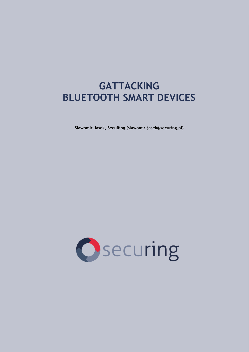# **GATTACKING BLUETOOTH SMART DEVICES**

**Sławomir Jasek, SecuRing (slawomir.jasek@securing.pl)**

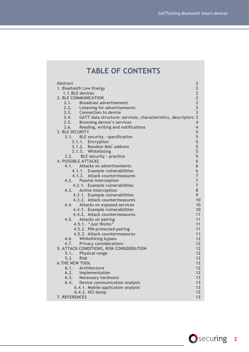## **TABLE OF CONTENTS**

| <b>Abstract</b>                                                    | $\overline{2}$          |
|--------------------------------------------------------------------|-------------------------|
| 1. Bluetooth Low Energy                                            | $\overline{2}$          |
| 1.1. BLE devices                                                   | $\overline{2}$          |
| <b>2. BLE COMMUNICATION</b>                                        | $\overline{2}$          |
| 2.1. Broadcast advertisement                                       | $\overline{2}$          |
| 2.2. Listening for advertisements                                  | $\overline{\mathbf{3}}$ |
| 2.3. Connection to device                                          | $\overline{3}$          |
| 2.4. GATT data structure: services, characteristics, descriptors 3 |                         |
| 2.5. Browsing device's services                                    | $\overline{\mathbf{4}}$ |
| 2.6. Reading, writing and notifications                            | $\overline{4}$          |
| <b>3. BLE SECURITY</b>                                             | 5                       |
| 3.1. BLE security - specification                                  | 5                       |
| 3.1.1. Encryption                                                  | 5                       |
| 3.1.2. Random MAC address                                          | 5                       |
| 3.1.3. Whitelisting                                                | 5                       |
| 3.2. BLE security - practice                                       | 5                       |
| <b>4. POSSIBLE ATTACKS</b>                                         | 6                       |
| 4.1. Attacks on advertisements                                     | 6                       |
| 4.1.1. Example vulnerabilities                                     | 6                       |
| 4.1.2. Attack countermeasures                                      | $\overline{7}$          |
| 4.2. Passive Interception                                          | $\overline{7}$          |
| 4.2.1. Example vulnerabilities                                     | $\overline{7}$          |
| <b>Active interception</b><br>4.3.                                 | 8                       |
| 4.3.1. Example vulnerabilities                                     | 9                       |
| 4.3.2. Attack countermeasures                                      | 10                      |
| Attacks on exposed services<br>4.4.                                | 10                      |
| 4.4.1. Example vulnerabilities                                     | 10                      |
| 4.4.2. Attack countermeasures                                      | 11                      |
| 4.5. Attacks on pairing                                            | 11                      |
| 4.5.1. "Just Works"                                                | 11<br>11                |
| 4.5.2. PIN-protected pairing<br>4.5.3. Attack countermeasures      | 11                      |
| 4.6. Whitelisting bypass                                           | 12                      |
| 4.7. Privacy considerations                                        | 12                      |
| 5. ATTACK CONDITIONS, RISK CONSIDERATION                           | 12                      |
| 5.1. Physical range                                                | 12                      |
| 5.2. Risk                                                          | 12                      |
| <b>6.THE NEW TOOL</b>                                              | 12                      |
| 6.1. Architecture                                                  | 12                      |
| Implementation<br>6.2.                                             | $12$                    |
| 6.3.<br><b>Necessary hardware</b>                                  | 13                      |
| Device communication analysis<br>6.4.                              | 13                      |
| 6.4.1. Mobile application analysis                                 | 13                      |
| 6.4.2. HCI dump                                                    | 13                      |
| 7. REFERENCES                                                      | 13                      |
|                                                                    |                         |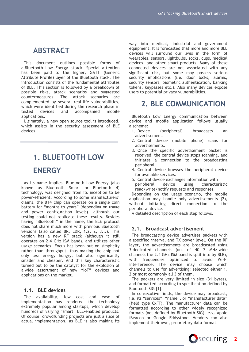## **ABSTRACT**

This document outlines possible forms of a Bluetooth Low Energy attack. Special attention has been paid to the higher, GATT (Generic Attribute Profile) layer of the Bluetooth stack. The introduction consists of the fundamental attributes of BLE. This section is followed by a breakdown of possible risks, attack scenarios and suggested countermeasures. The attack scenarios are complemented by several real-life vulnerabilities, which were identified during the research phase in tested devices and accompanied mobile applications.

Ultimately, a new open source tool is introduced, which assists in the security assessment of BLE devices.

# <span id="page-2-0"></span>**1. BLUETOOTH LOW ENERGY**

As its name implies, Bluetooth Low Energy (also known as Bluetooth Smart or Bluetooth 4) technology, was designed from its inception to be power-efficient. According to some manufacturers' claims, the BT4 chip can operate on a single coin battery for "months to years" (depending on usage and power configuration levels), although our testing could not replicate these results. Besides having "Bluetooth" in the name, the BLE protocol does not share much more with previous Bluetooth versions (also called BR, EDR, 1.2, 2, 3...). This version has a new RF stack (although it still operates on 2.4 GHz ISM band), and utilizes other usage scenarios. Focus has been put on simplicity rather than throughput, thus making the chip not only less energy hungry, but also significantly smaller and cheaper. And this key characteristic turned out to be the catalyst for the explosion of a wide assortment of new "IoT" devices and applications on the market.

## <span id="page-2-1"></span>**1.1. BLE devices**

The availability, low cost and ease of implementation has rendered the technology extremely popular among startups, which develop hundreds of varying "smart" BLE-enabled products. Of course, crowdfunding projects are just a slice of actual implementation, as BLE is also making its way into medical, industrial and government equipment. It is forecasted that more and more BLE devices will surround our lives in the form of wearables, sensors, lightbulbs, socks, cups, medical devices, and other smart-products. Many of these connected devices are not associated with any significant risk, but some may possess serious security implications (i.e. door locks, alarms, security sensors, biometric authentication, banking tokens, keypasses etc.). Also many devices expose users to potential privacy vulnerabilities.

## <span id="page-2-2"></span>**2. BLE COMMUNICATION**

Bluetooth Low Energy communication between device and mobile application follows usually a scheme:

- 1. Device (peripheral) broadcasts an advertisement.
- 2. Central device (mobile phone) scans for advertisements.
- 3. Once the specific advertisement packet is received, the central device stops scanning, and initiates a connection to the broadcasting peripheral.
- 4. Central device browses the peripheral device for available services.
- 5. Central device exchanges information with peripheral device using characteristic read/write/notify requests and responses.

Depending on the usage scenario, the mobile application may handle only advertisements (2), without initiating direct connection to the peripheral device.

A detailed description of each step follows.

## <span id="page-2-3"></span>**2.1. Broadcast advertisement**

The broadcasting device advertises packets with a specified interval and TX power level. On the RF layer, the advertisements are broadcasted using 3 dedicated channels (out of 40 2 MHz-wide channels the 2.4 GHz ISM band is split into by BLE), with frequencies optimized to avoid Wi-Fi interference. The device may choose which channels to use for advertising: selected either 1, 2 or most commonly all 3 of them.

The packets are very limited in size (31 bytes), and formatted according to specification defined by Bluetooth SIG [1].

In consecutive fields, the device may broadcast, i.a. its "services", "name", or "manufacturer data" (field type 0xFF). The manufacturer data can be formatted according to other widely recognized formats (not defined by Bluetooth SIG), e.g. Apple iBeacon or Google Eddystone. Vendors can also implement their own, proprietary data format.

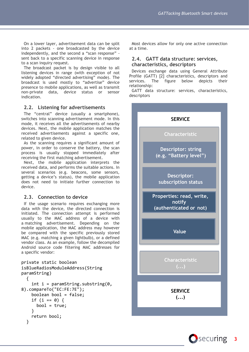On a lower layer, advertisement data can be split into 2 packets - one broadcasted by the device independently, and the second a "scan response" sent back to a specific scanning device in response to a scan inquiry request.

The broadcast packet is by design visible to all listening devices in range (with exception of not widely adopted "directed advertising" mode). The broadcast is used mostly to "advertise" device presence to mobile applications, as well as transmit non-private data, device status or sensor indication.

## <span id="page-3-0"></span>**2.2. Listening for advertisements**

The "central" device (usually a smartphone), switches into scanning advertisement mode. In this mode, it receives all the advertisements of nearby devices. Next, the mobile application matches the received advertisements against a specific one, related to given device.

As the scanning requires a significant amount of power, in order to conserve the battery, the scan process is usually stopped immediately after receiving the first matching advertisement.

Next, the mobile application interprets the received data, and performs the suitable actions. In several scenarios (e.g. beacons, some sensors, getting a device's status), the mobile application does not need to initiate further connection to device.

## <span id="page-3-1"></span>**2.3. Connection to device**

If the usage scenario requires exchanging more data with the device, the directed connection is initiated. The connection attempt is performed usually to the MAC address of a device with a matching advertisement. Depending on the mobile application, the MAC address may however be compared with the specific previously stored MAC (e.g. matching a given lightbulb), or a defined vendor class. As an example, follow the decompiled Android source code filtering MAC addresses for a specific vendor:

```
private static boolean 
isBlueRadiosModuleAddress(String 
paramString)
  {
    int i = paramString.substring(0,8).compareTo("EC:FE:7E");
    boolean bool = false;
    if (i == 0) {
      bool = true;}
    return bool;
  }
```
Most devices allow for only one active connection at a time.

## <span id="page-3-2"></span>**2.4. GATT data structure: services, characteristics, descriptors**

Devices exchange data using General Attribute Profile (GATT) [2] characteristics, descriptors and services. The figure below depicts their relationship:

GATT data structure: services, characteristics, descriptors



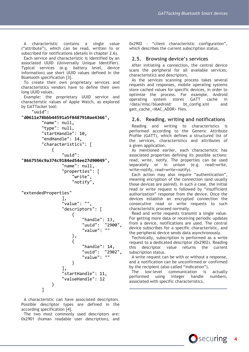A characteristic contains a single value ("attribute"), which can be read, written to or subscribed for notifications (details in chapter 2.6).

Each service and characteristic is identified by an associated UUID (Universally Unique Identifier). Typical services (e.g. battery level, device information) use short UUID values defined in the Bluetooth specification [3].

To create their own proprietary services and characteristics vendors have to define their own long UUID values.

Example: the proprietary UUID service and characteristic values of Apple Watch, as explored by GATTacker tool:

"uuid":

```
"d0611e78bbb44591a5f8487910ae4366",
         "name": null,
         "type": null,
         "startHandle": 10,
         "endHandle": 14,
         "characteristics": [
\{ "uuid": 
"8667556c9a374c9184ed54ee27d90049",
                 "name": null,
                 "properties": [
                      "write",
                     "notify",
```

```
"extendedProperties"
```

```
 ],
            "value": "",
            "descriptors": [
\{ "handle": 13,
                 "uuid": "2900",
                 "value": ""
\}, \}, \{{
                  "handle": 14,
                 "uuid": "2902",
                 "value": ""
 }
 ],
            "startHandle": 11,
            "valueHandle": 12
 }
      ]
```
A characteristic can have associated descriptors. Possible descriptor types are defined in the according specification [4].

The two most commonly used descriptors are: 0x2901 (human readable user description), and

0x2902 - "client characteristic configuration", which describes the current subscription status.

## <span id="page-4-0"></span>**2.5. Browsing device's services**

After initiating a connection, the central device scans the peripheral for all available services, characteristics and descriptors.

As the services scanning process takes several requests and responses, mobile operating systems store cached values for specific devices, in order to optimize the process. For example, Android operating system stores GATT cache in /data/misc/bluedroid: bt\_config.xml and gatt\_cache\_<MAC\_ADDR> files.

## <span id="page-4-1"></span>**2.6. Reading, writing and notifications**

Reading and writing to characteristics is performed according to the Generic Attribute Profile (GATT), which defines a structured list of the services, characteristics and attributes of a given application.

As mentioned earlier, each characteristic has associated properties defining its possible actions: read, write, notify. The properties can be used separately or in unison (e.g. read+write, write+notify, read+write+notify).

Each action may also require "authentication", meaning encryption of the connection (and usually those devices are paired). In such a case, the initial read or write request is followed by "insufficient authorization" response from the device. Once the devices establish an encrypted connection the consecutive read or write requests to such characteristic proceed normally.

Read and write requests transmit a single value. For getting more data or receiving periodic updates from a device, notifications are used. The central device subscribes for a specific characteristic, and the peripheral device sends data asynchronously.

Technically, subscription is performed as a write request to a dedicated descriptor (0x2902). Reading this descriptor value returns the current subscription status.

A write request can be with or without a response, and a notification can be unconfirmed or confirmed by the recipient (also called "indication").

The low-level communication is actually performed using integer handle numbers, associated with specific characteristics.

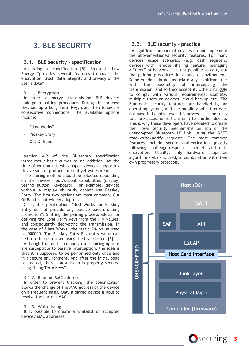## <span id="page-5-0"></span>**3. BLE SECURITY**

### <span id="page-5-1"></span>**3.1. BLE security - specification**

According to specification [5], Bluetooth Low Energy "provides several features to cover the encryption, trust, data integrity and privacy of the user's data".

#### <span id="page-5-2"></span>**3.1.1. Encryption**

In order to encrypt transmission, BLE devices undergo a pairing procedure. During this process they set up a Long Term Key, used then to secure consecutive connections. The available options include:

- "Just Works"
- Passkey Entry
- Out Of Band

Version 4.2 of the Bluetooth specification introduces elliptic curves as an addition. At the time of writing this whitepaper, devices supporting this version of protocol are not yet widespread.

The pairing method should be selected depending on the device input/output capabilities (display, yes/no button, keyboard). For example, devices without a display obviously cannot use Passkey Entry. The first two options are most common, Out Of Band is not widely adopted.

Citing the specification: "Just Works and Passkey Entry do not provide any passive eavesdropping protection". Sniffing the pairing process allows for deriving the Long Term Keys from the PIN values, and consequently decrypting the transmission. In the case of "Just Works" the static PIN value used is: 000000. The Passkey Entry PIN entry value can be brute-force cracked using the Crackle tool [6].

Although the most commonly used pairing options are susceptible to passive interception, the idea is that it is supposed to be performed only once and in a secure environment. And after the initial bond is created, there transmission is properly secured using "Long Term Keys".

#### <span id="page-5-3"></span>**3.1.2. Random MAC address**

In order to prevent tracking, the specification allows the change of the MAC address of the device on a frequent basis. Only a paired device is able to resolve the current MAC.

#### <span id="page-5-4"></span>**3.1.3. Whitelisting**

It is possible to create a whitelist of accepted devices' MAC addresses.

## <span id="page-5-5"></span>**3.2. BLE security - practice**

A significant amount of devices do not implement the abovementioned security features. For many device's usage scenarios (e.g. cash registers, devices with remote sharing feature, managing a "fleet" of beacons) it is not possible to carry out the pairing procedure in a secure environment. Some vendors do not associate any significant risk with the possibility of intercepting the transmission, and so they accept it. Others struggle to comply with various requirements: usability, multiple users or devices, cloud backup etc. The Bluetooth security features are handled by an operating system, and the mobile application does not have full control over this process. It is not easy to share access or to transfer it to another device. This is why these developers have decided to create their own security mechanisms on top of the unencrypted Bluetooth LE link, using the GATT read/write/notify requests. The most common features include secure authentication (mostly following challenge-response scheme), and data encryption. Usually, only hardware supported algorithm - AES - is used, in combination with their own proprietary protocols.



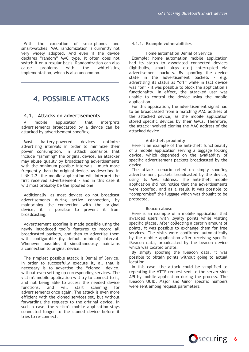With the exception of smartphones and smartwatches, MAC randomization is currently not very widely adopted. And even if the device declares "random" MAC type, it often does not switch it on a regular basis. Randomization can also cause problems with the whitelisting implementation, which is also uncommon.

## <span id="page-6-0"></span>**4. POSSIBLE ATTACKS**

## <span id="page-6-1"></span>**4.1. Attacks on advertisements**

A mobile application that interprets advertisements broadcasted by a device can be attacked by advertisement spoofing.

Most battery-powered devices optimize advertising intervals in order to minimize their power consumption. In attack scenarios that include "jamming" the original device, an attacker may abuse quality by broadcasting advertisements with the minimum possible intervals - much more frequently than the original device. As described in LINK 2.2, the mobile application will interpret the first received advertisement - and in this case it will most probably be the spoofed one.

Additionally, as most devices do not broadcast advertisements during active connection, by maintaining the connection with the original device, it is possible to prevent it from broadcasting.

Advertisement spoofing is made possible using the newly introduced tool's features to record all broadcasted packets, and then to advertise them with configurable (by default minimal) interval. Whenever possible, it simultaneously maintains a connection to original device.

The simplest possible attack is Denial of Service. In order to successfully execute it, all that is necessary is to advertise the "cloned" device, without even setting up corresponding services. The victim's mobile application will try to connect to it, and not being able to access the needed device functions, and will start scanning for advertisements once again. The attack is even more efficient with the cloned services set, but without forwarding the requests to the original device. In such a case, the victim's mobile application stays connected longer to the cloned device before it tries to re-connect.

#### <span id="page-6-2"></span>**4.1.1. Example vulnerabilities**

#### Home automation Denial of Service

Example: home automation mobile application had its status to associated connected devices (lightbulbs, smart plugs etc.) interrupted via advertisement packets. By spoofing the device state in the advertisement packets - e.g. advertising its status as "off" while in fact device was "on" - it was possible to block the application's functionality. In effect, the attacked user was unable to control the device using the mobile application.

For this application, the advertisement signal had to be broadcasted from a matching MAC address of the attacked device, as the mobile application stored specific devices by their MACs. Therefore, the attack involved cloning the MAC address of the attacked device.

#### **Anti-theft proximity**

Here is an example of the anti-theft functionality of a mobile application serving a luggage locking device, which depended on the availability of specific advertisement packets broadcasted by the device.

The attack scenario relied on simply spoofing advertisement packets broadcasted by the device, using its MAC address. The anti-theft mobile application did not notice that the advertisements were spoofed, and as a result it was possible to "compromise" the luggage which was thought to be protected.

#### **Beacon abuse**

Here is an example of a mobile application that awarded users with loyalty points while visiting specific places. After collecting a certain amount of points, it was possible to exchange them for free services. The visits were confirmed automatically by the mobile application after receiving specific iBeacon data, broadcasted by the beacon device which was located onsite.

By simply spoofing the iBeacon data, it was possible to obtain points without going to actual location.

In this case, the attack could be simplified to repeating the HTTP request sent to the server-side API by mobile application during the process. The iBeacon UUID, Major and Minor specific numbers were sent among request parameters: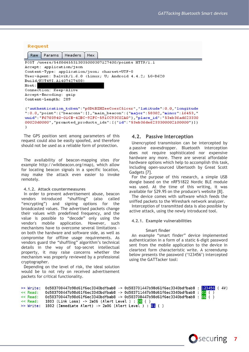#### **Request**

| Raw                                                                                                                                                                                                                                                                                                                      | Params | Headers | Hex |  |  |  |  |  |  |
|--------------------------------------------------------------------------------------------------------------------------------------------------------------------------------------------------------------------------------------------------------------------------------------------------------------------------|--------|---------|-----|--|--|--|--|--|--|
| POST /users/54f0d455313035000307127400/points HTTP/1.1                                                                                                                                                                                                                                                                   |        |         |     |  |  |  |  |  |  |
| Accept: application/json                                                                                                                                                                                                                                                                                                 |        |         |     |  |  |  |  |  |  |
| Content-Type: application/json; charset=UTF-8                                                                                                                                                                                                                                                                            |        |         |     |  |  |  |  |  |  |
| User-Agent: Dalvik/1.6.0 (Linux; U; Android 4.4.2; LG-D620                                                                                                                                                                                                                                                               |        |         |     |  |  |  |  |  |  |
| Build/K0T49I.A1407427488)                                                                                                                                                                                                                                                                                                |        |         |     |  |  |  |  |  |  |
| Host:                                                                                                                                                                                                                                                                                                                    |        |         |     |  |  |  |  |  |  |
| Connection: Keep-Alive                                                                                                                                                                                                                                                                                                   |        |         |     |  |  |  |  |  |  |
| Accept-Encoding: gzip                                                                                                                                                                                                                                                                                                    |        |         |     |  |  |  |  |  |  |
| Content-Length: 289                                                                                                                                                                                                                                                                                                      |        |         |     |  |  |  |  |  |  |
| ("authentication_token":"p8DtBZHZeeCoexC5lcsr","latitude":0.0,"longitude<br>":0.0, "point": { "beacons": [], "main_beacon": { "major": 58302, "minor": 16453, "<br>uuid":"F6703940-01CE-42BC-92FC-591CC93C02A0"},"place_id":"53eb36ad623330<br>00020d0000","promoted_products_ids": [{"id":"53eb36de6233300002100000"}]} |        |         |     |  |  |  |  |  |  |

The GPS position sent among parameters of this request could also be easily spoofed, and therefore should not be used as a reliable form of protection.

The availability of beacon-mapping sites (for example http://wikibeacon.org/map), which allow for locating beacon signals in a specific location, may make the attack even easier to invoke remotely.

#### <span id="page-7-0"></span>**4.1.2. Attack countermeasures**

In order to prevent advertisement abuse, beacon vendors introduced "shuffling" (also called "encrypting") and signing options for the broadcasted values. The advertised packets change their values with predefined frequency, and the value is possible to "decode" only using the vendor's mobile application. However, such mechanisms have to overcome several limitations on both the hardware and software side, as well as compromise for offline usage requirements. As vendors guard the "shuffling" algorithm's technical details in the way of top-secret intellectual property, it may raise concerns whether the mechanism was properly reviewed by a professional cryptographer.

Depending on the level of risk, the ideal solution would be to not rely on received advertisement packets for critical functionality.

### <span id="page-7-1"></span>**4.2. Passive Interception**

Unencrypted transmission can be intercepted by a passive eavesdropper. Bluetooth interception does not require sophisticated nor expensive hardware any more. There are several affordable hardware options which help to accomplish this task, including open-sourced Ubertooth by Great Scott Gadgets [7].

For the purpose of this research, a simple USB dongle based on the nRF51822 Nordic BLE module was used. At the time of this writing, it was available for \$29.95 on the producer's website [8].

The device comes with software which feeds the sniffed packets to the Wireshark network analyzer.

Interception of transmitted data is also possible by active attack, using the newly introduced tool.

#### <span id="page-7-2"></span>**4.2.1. Example vulnerabilities**

#### **Smart finder**

An example "smart finder" device implemented authentication in a form of a static 6-digit password sent from the mobile application to the device in cleartext form characteristic write. A screendump below presents the password ('123456') intercepted using the GATTacker tool:

```
>> Write: 0d583700447b98d61f6ec3340bdfbab8 -> 0d583701447b98d61f6ec3340bdfbab8 : 123456 (4V)
          0d583700447b98d61f6ec3340bdfbab8 -> 0d583711447b98d61f6ec3340bdfbab8 : 01
<< Read:
          0d583700447b98d61f6ec3340bdfbab8 -& 0d583708447b98d61f6ec3340bdfbab8 : 06( )<< Read:
<< Read:
          1803 (Link Loss) -> 2a06 (Alert Level ) : \frac{0}{0} ( )
>> Write: 1802 (Immediate Alert) -> 2a06 (Alert Level ) : 01 ( )
```
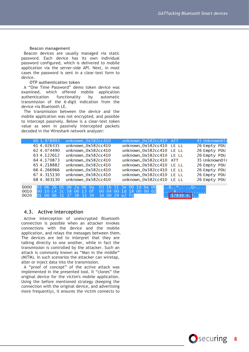#### **Beacon management**

Beacon devices are usually managed via static password. Each device has its own individual password configured, which is delivered to mobile application via the server-side API. Next, in most cases the password is sent in a clear-text form to device.

#### **OTP authentication token**

A "One Time Password" demo token device was examined, which offered mobile application authentication functionality by automatic transmission of the 6-digit indication from the device via Bluetooth LE.

The transmission between the device and the mobile application was not encrypted, and possible to intercept passively. Below is a clear-text token value as seen in passively intercepted packets decoded in the Wireshark network analyzer:

|      | 60 3.978993 | unknown_0x582cc410                              | unknown_0x582cc410 ATT   |           | 45 UnknownDir |
|------|-------------|-------------------------------------------------|--------------------------|-----------|---------------|
|      | 61 4.026335 | unknown_0x582cc410                              | unknown_0x582cc410 LE LL |           | 26 Empty PDU  |
|      | 62 4.074490 | unknown_0x582cc410                              | unknown_0x582cc410 LE LL |           | 26 Empty PDU  |
|      | 63 4.122612 | unknown_0x582cc410                              | unknown_0x582cc410 LE LL |           | 26 Empty PDU  |
|      | 64 4.170873 | unknown_0x582cc410                              | unknown_0x582cc410 ATT   |           | 35 UnknownDir |
|      | 65 4.218882 | unknown_0x582cc410                              | unknown_0x582cc410 LE LL |           | 26 Empty PDU  |
|      | 66 4.266966 | unknown_0x582cc410                              | unknown_0x582cc410 LE LL |           | 26 Empty PDU  |
|      | 67 4.315130 | unknown_0x582cc410                              | unknown_0x582cc410 LE LL |           | 26 Empty PDU  |
|      | 68 4.363130 | unknown_0x582cc410                              | unknown_0x582cc410 LE LL |           | 26 Empty PDU  |
|      |             |                                                 |                          |           |               |
| 0000 |             | 03 06 26 01 06 2a 06 0a 03 1b 51 3e 00 1d be 00 |                          |           |               |
| 0010 |             | 00 10 c4 2c 58 06 13 0f 00 04 00 1d 18 00 00 02 |                          | . X.      |               |
| 0020 |             | 01 00 06 31 37 38 33 39                         | 34 00 29 e2 fc           | $178394.$ |               |

## <span id="page-8-0"></span>**4.3. Active interception**

Active interception of unencrypted Bluetooth connection is possible when an attacker invokes connections with the device and the mobile application, and relays the messages between them. The devices are led to interpret that they are talking directly to one another, while in fact the transmission is controlled by the attacker. Such an attack is commonly known as "Man in the middle" (MiTM). In such scenarios the attacker can wiretap, alter or inject data into the transmission.

A "proof of concept" of the active attack was implemented in the presented tool. It "clones" the original device for the victim's mobile application. Using the before mentioned strategy (keeping the connection with the original device, and advertising more frequently), it ensures the victim connects to

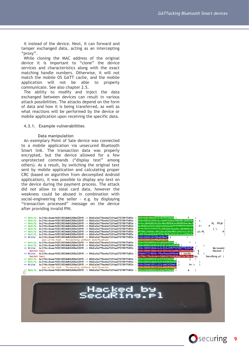it instead of the device. Next, it can forward and tamper exchanged data, acting as an intercepting "proxy".

While cloning the MAC address of the original device it is important to "clone" the device services and characteristics along with the exact matching handle numbers. Otherwise, it will not match the mobile OS GATT cache, and the mobile application will not be able to properly communicate. See also chapter 2.5.

The ability to modify and inject the data exchanged between devices can result in various attack possibilities. The attacks depend on the form of data and how it is being transferred, as well as what reactions will be performed by the device or mobile application upon receiving the specific data.

#### <span id="page-9-0"></span>**4.3.1. Example vulnerabilities**

#### **Data manipulation**

An exemplary Point of Sale device was connected to a mobile application via unsecured Bluetooth Smart link. The transaction data was properly encrypted, but the device allowed for a few unprotected commands ("display text" among others). As a result, by switching the original text sent by mobile application and calculating proper CRC (based on algorithm from decompiled Android application), it was possible to display any text on the device during the payment process. The attack did not allow to steal card data, however the weakness could be abused in combination with social-engineering the seller - e.g. by displaying "transaction processed" message on the device after providing invalid PIN.





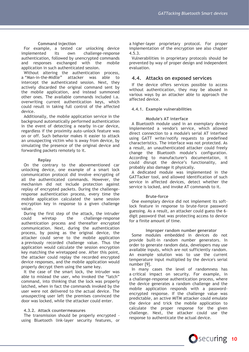## **Command injection**

For example, a tested car unlocking device implemented its own challenge-response authentication, followed by unencrypted commands and responses exchanged with the mobile application in such authenticated session.

Without altering the authentication process, a "Man-in-the-Midlle" attacker was able to intercept the authenticated session. Next, they actively discarded the original command sent by the mobile application, and instead summoned other ones. The available commands included i.a. overwriting current authentication keys, which could result in taking full control of the affected device.

Additionally, the mobile application service in the background automatically performed authentication in the event of detecting a nearby in-car device, regardless if the proximity auto-unlock feature was on or off. Such behavior makes it easier to attack an unsuspecting victim who is away from device, by simulating the presence of the original device and forwarding packets remotely to it.

### **Replay**

On the contrary to the abovementioned car unlocking device, one example of a smart lock communication protocol did involve encrypting of all the authenticated commands. However, the mechanism did not include protection against replay of encrypted packets. During the challengeresponse authentication process, every time the mobile application calculated the same session encryption key in response to a given challenge value.

During the first step of the attack, the intruder could wiretap the challenge-response authentication process and thereafter encrypted communication. Next, during the authentication process, by posing as the original device, the attacker could serve to the mobile application a previously recorded challenge value. Thus the application would calculate the session encryption key matching the wiretapped one. After this point, the attacker could replay the recorded encrypted device responses, and the mobile application would properly decrypt them using the same key.

It the case of the smart lock, the intruder was able to mislead the user, who invoked the "latch" command, into thinking that the lock was properly latched, when in fact the commands invoked by the user were not delivered to the actual device. The unsuspecting user left the premises convinced the door was locked, while the attacker could enter.

## <span id="page-10-0"></span>**4.3.2. Attack countermeasures**

The transmission should be properly encrypted using Bluetooth link-layer security features, or a higher-layer proprietary protocol. For proper implementation of the encryption see also chapter 4.5.3.

Vulnerabilities in proprietary protocols should be prevented by way of proper design and independent evaluation.

## <span id="page-10-1"></span>**4.4. Attacks on exposed services**

If the device offers services possible to access without authentication, they may be abused in various ways by an attacker able to approach the affected device.

### <span id="page-10-2"></span>**4.4.1. Example vulnerabilities**

### **Module's AT interface**

A Bluetooth module used in an exemplary device implemented a vendor's service, which allowed direct connection to a module's serial AT interface using GATT write/notify requests to predefined characteristics. The interface was not protected. As a result, an unauthenticated attacker could freely change the Bluetooth module's configuration. According to manufacturer's documentation, it could disrupt the device's functionality, and probably also damage it physically.

A dedicated module was implemented in the GATTacker tool, and allowed identification of such service in affected devices, detect whether the service is locked, and invoke AT commands to it.

### **Brute-force**

One exemplary device did not implement its softlock feature in response to brute-force password guessing. As a result, an attacker could guess the 6 digit password that was protecting access to device for a finite amount of time.

### **Improper random number generator**

Some modules embedded in devices do not provide built-in random number generators. In order to generate random data, developers may use available inputs, which are not sufficiently random. An example solution was to use the current temperature input multiplied by the device's serial number [9].

In many cases the level of randomness has a critical impact on security. For example, in a challenge-response authentication process, where the device generates a random challenge and the mobile application responds with a passwordencrypted response. If the challenge value was predictable, an active MITM attacker could emulate the device and trick the mobile application to calculate the proper response for the given challenge. Next, the attacker could use the response to authenticate the actual device.

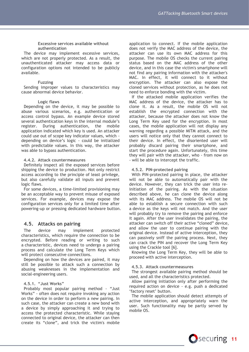#### **Excessive services available without authentication**

The device may implement excessive services, which are not properly protected. As a result, the unauthenticated attacker may access data or configuration options not intended to be publicly available.

#### **Fuzzing**

Sending improper values to characteristics may cause abnormal device behavior.

#### **Logic flaws**

Depending on the device, it may be possible to abuse various scenarios, e.g. authentication or access control bypass. An example device stored several authentication keys in the internal module's register. During authentication, the mobile application indicated which key is used. An attacker could use out of scope key indicator values, which depending on device's logic - could be initialized with predictable values. In this way, the attacker was able to bypass authentication.

#### <span id="page-11-0"></span>**4.4.2. Attack countermeasures**

Definitely inspect all the exposed services before shipping the device to production. Not only restrict access according to the principle of least privilege, but also carefully validate all inputs and prevent logic flaws.

For some devices, a time-limited provisioning may be an acceptable way to prevent misuse of exposed services. For example, devices may expose the configuration services only for a limited time after powering-up or pressing dedicated hardware button.

## <span id="page-11-1"></span>**4.5. Attacks on pairing**

The device may implement protected characteristics, which require the connection to be encrypted. Before reading or writing to such a characteristic, devices need to undergo a pairing process and calculate the Long Term Keys which will protect consecutive connections.

Depending on how the devices are paired, it may still be possible to attack such a connection by abusing weaknesses in the implementation and social-engineering users.

#### <span id="page-11-2"></span>**4.5.1. "Just Works"**

Probably most popular pairing method - "Just Works" - often does not require invoking any action on the device in order to perform a new pairing. In such case, the attacker can create a new bond with a device by simply approaching it and trying to access the protected characteristic. While staying connected to original device, the attacker can then create its "clone", and trick the victim's mobile

application to connect. If the mobile application does not verify the MAC address of the device, the attacker can use its own MAC address for this purpose. The mobile OS checks the current pairing status based on the MAC address of the other device, and in this case the victim's smartphone will not find any pairing information with the attacker's MAC. In effect, it will connect to it without encryption. The attacker can also expose the cloned services without protection, as he does not need to enforce bonding with the victim.

If the attacked mobile application verifies the MAC address of the device, the attacker has to clone it. As a result, the mobile OS will not establish the encrypted connection with the attacker, because the attacker does not know the Long Term Key used for the encryption. In most cases, the mobile application will not display any warning regarding a possible MITM attack, and the users will notice only that they cannot connect to their device. In effect, the disoriented user will probably discard pairing their smartphone, and start the procedure again. Unfortunately, this time they will pair with the attacker, who - from now on - will be able to intercept the traffic.

#### <span id="page-11-3"></span>**4.5.2. PIN-protected pairing**

With PIN-protected pairing in place, the attacker will not be able to automatically pair with the device. However, they can trick the user into reinitiation of the pairing. As with the situation described above, he can clone the device along with its MAC address. The mobile OS will not be able to establish a secure connection with such a device as the keys will not match. And the user will probably try to remove the pairing and enforce it again. After the user invalidates the pairing, the attacker can switch off their active "cloned" device, and allow the user to continue pairing with the original device. Instead of active interception, they can passively sniff the pairing process. Next, they can crack the PIN and recover the Long Term Key using the Crackle tool [6].

Knowing the Long Term Key, they will be able to proceed with active interception.

#### <span id="page-11-4"></span>**4.5.3. Attack countermeasures**

The strongest available pairing method should be used, and all the characteristics protected.

Allow pairing initiation only after performing the required action on device - e.g. push a dedicated 'factory reset' button.

The mobile application should detect attempts of active interception, and appropriately warn the user. Such functionality may be partly served by mobile OS.

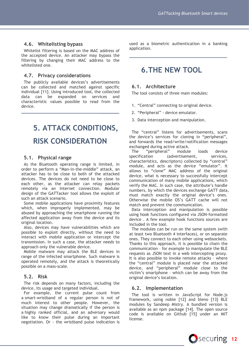## <span id="page-12-0"></span>**4.6. Whitelisting bypass**

Whitelist filtering is based on the MAC address of the accepted device. An attacker may bypass the filtering by changing their MAC address to the whitelisted one.

## <span id="page-12-1"></span>**4.7. Privacy considerations**

The publicly available devices's advertisements can be collected and matched against specific individual [11]. Using introduced tool, the collected data can be expanded on services and characteristic values possible to read from the device.

# <span id="page-12-2"></span>**5. ATTACK CONDITIONS, RISK CONSIDERATION**

## <span id="page-12-3"></span>**5.1. Physical range**

As the Bluetooth operating range is limited, in order to perform a "Man-in-the-middle" attack, an attacker has to be close to both of the attacked devices. The devices do not need to be close to each other, as the attacker can relay packets remotely via an Internet connection. Modular design of the GATTacker tool allows the exploit of such an attack scenario.

Some mobile applications have proximity features which, when improperly implemented, may be abused by approaching the smartphone running the affected application away from the device and its original location.

Also, devices may have vulnerabilities which are possible to exploit directly, without the need to interact with mobile application or intercept the transmission. In such a case, the attacker needs to approach only the vulnerable device.

Mobile malware may attack the BLE devices in range of the infected smartphone. Such malware is operated remotely, and the attack is theoretically possible on a mass-scale.

## <span id="page-12-4"></span>**5.2. Risk**

The risk depends on many factors, including the device, its usage and targeted individual.

For example, the current pulse count from a smart-wristband of a regular person is not of much interest to other people. However, the situation may change dramatically if the person is a highly ranked official, and an adversary would like to know their pulse during an important negotiation. Or - the wristband pulse indication is

used as a biometric authentication in a banking application.

## <span id="page-12-5"></span>**6.THE NEW TOOL**

## <span id="page-12-6"></span>**6.1. Architecture**

The tool consists of three main modules:

- 1. "Central" connecting to original device.
- 2. "Peripheral" device emulator.
- 3. Data interception and manipulation.

The "central" listens for advertisements, scans the device's services for cloning in "peripheral", and forwards the read/write/notification messages exchanged during active attack.

The "peripheral" module loads device specification (advertisement, services, characteristics, descriptors) collected by "central" module, and acts as the device "emulator". It allows to "clone" MAC address of the original device, what is necessary to successfully intercept communication of many mobile applications, which verify the MAC. In such case, the attribute's handle numbers, by which the devices exchange GATT data, must match exactly the original device's ones. Otherwise the mobile OS's GATT cache will not match and prevent the communication.

Data interception and manipulation is possible using hook functions configured via JSON-formatted device . A few example hook functions sources are included in the tool.

The modules can be run on the same system (with at least two Bluetooth 4 interfaces), or on separate ones. They connect to each other using websockets. Thanks to this approach, it is possible to chain the communication – for example to manipulate the BLE requests as JSON text in a web intercepting proxy. It is also possible to invoke remote attacks – where the "central" module is placed near the attacked device, and "peripheral" module close to the victim's smartphone – which can be away from the original device's location.

## <span id="page-12-7"></span>**6.2. Implementation**

The tool is written in JavaScript for Node.js framework, using noble [12] and bleno [13] BLE modules by Sandeep Mistry. A bundled version is available as an npm package [14]. The open source code is available on Github [15] under an MIT license.

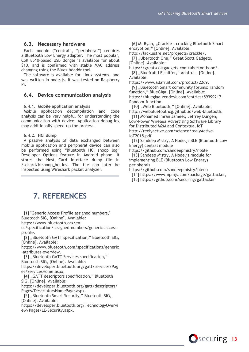## <span id="page-13-0"></span>**6.3. Necessary hardware**

Each module ("central", "peripheral") requires a Bluetooth Low Energy adapter. The most popular, CSR 8510-based USB dongle is available for about \$10, and is confirmed with stable MAC address changing using the Bluez bdaddr tool.

The software is available for Linux systems, and was written in node.js. It was tested on Raspberry Pi.

### <span id="page-13-1"></span>**6.4. Device communication analysis**

#### <span id="page-13-2"></span>**6.4.1. Mobile application analysis**

Mobile application decompilation and code analysis can be very helpful for understanding the communication with device. Application debug log may additionally speed-up the process.

### <span id="page-13-3"></span>**6.4.2. HCI dump**

A passive analysis of data exchanged between mobile application and peripheral device can also be performed using "Bluetooth HCI snoop log" Developer Options feature in Android phone. It stores the Host Card Interface dump file in /sdcard/btsnoop\_hci.log. The file can later be inspected using Wireshark packet analyzer.

<span id="page-13-4"></span>**7. REFERENCES**

[1] "Generic Access Profile assigned numbers," Bluetooth SIG, [Online]. Available:

https://www.bluetooth.org/en-

us/specification/assigned-numbers/generic-accessprofile.

[2] "Bluetooth GATT specification," Bluetooth SIG, [Online]. Available:

https://www.bluetooth.com/specifications/generic -attributes-overview.

[3] ..Bluetooth GATT Services specification," Bluetooth SIG, [Online]. Available:

https://developer.bluetooth.org/gatt/services/Pag

es/ServicesHome.aspx. [4] "GATT descriptors specification," Bluetooth

SIG, [Online]. Available:

https://developer.bluetooth.org/gatt/descriptors/ Pages/DescriptorsHomePage.aspx.

[5] "Bluetooth Smart Security," Bluetooth SIG, [Online]. Available:

https://developer.bluetooth.org/TechnologyOvervi ew/Pages/LE-Security.aspx.

[6] M. Ryan, "Crackle - cracking Bluetooth Smart encryption," [Online]. Available:

http://lacklustre.net/projects/crackle/. [7] "Ubertooth One," Great Scott Gadgets,

[Online]. Available:

https://greatscottgadgets.com/ubertoothone/. [8] "Bluefruit LE sniffer," Adafruit, [Online]. Available:

https://www.adafruit.com/product/2269.

[9] "Bluetooth Smart community forums: random function," BlueGiga, [Online]. Available: https://bluegiga.zendesk.com/entries/59399217- Random-function.

[10] "Web Bluetooth," [Online]. Available: http://webbluetoothcg.github.io/web-bluetooth.

[11] Mohamed Imran Jameel, Jeffrey Dungen, Low-Power Wireless Advertising Software Library for Distributed M2M and Contextual IoT http://reelyactive.com/science/reelyActive-IoT2015.pdf

[12] Sandeep Mistry, A Node.js BLE (Bluetooth Low Energy) central module

https://github.com/sandeepmistry/noble [13] Sandeep Mistry, A Node.js module for implementing BLE (Bluetooth Low Energy) peripherals

https://github.com/sandeepmistry/bleno

[14] https://www.npmjs.com/package/gattacker,

[15] https://github.com/securing/gattacker